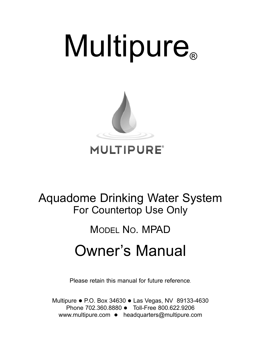# **Multipure**®



### **MULTIPURE®**

## Aquadome Drinking Water System For Countertop Use Only

# MODel NO. MPAD

# Owner's Manual

Please retain this manual for future reference.

Multipure  $\bullet$  P.O. Box 34630  $\bullet$  Las Vegas, NV 89133-4630 Phone 702.360.8880 • Toll-Free 800.622.9206 www.multipure.com  $\bullet$  headquarters@multipure.com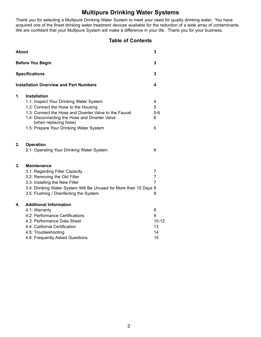#### **Multipure Drinking Water Systems**

Thank you for selecting a Multipure Drinking Water System to meet your need for quality drinking water. You have acquired one of the finest drinking water treatment devices available for the reduction of a wide array of contaminants. We are confident that your Multipure System will make a difference in your life. Thank you for your business.

#### **Table of Contents**

| <b>About</b> |                                                                                                                                                                                                                                                                                        | 3                                          |
|--------------|----------------------------------------------------------------------------------------------------------------------------------------------------------------------------------------------------------------------------------------------------------------------------------------|--------------------------------------------|
|              | <b>Before You Begin</b>                                                                                                                                                                                                                                                                | 3                                          |
|              | <b>Specifications</b>                                                                                                                                                                                                                                                                  | 3                                          |
|              | <b>Installation Overview and Part Numbers</b>                                                                                                                                                                                                                                          | 4                                          |
| 1.           | <b>Installation</b><br>1.1: Inspect Your Drinking Water System<br>1.2: Connect the Hose to the Housing<br>1.3: Connect the Hose and Diverter Valve to the Faucet<br>1.4: Disconnecting the Hose and Diverter Valve<br>(when replacing hose)<br>1.5: Prepare Your Drinking Water System | 4<br>5<br>$5-6$<br>6<br>6                  |
| 2.           | <b>Operation</b><br>2.1: Operating Your Drinking Water System                                                                                                                                                                                                                          | 6                                          |
| 3.           | <b>Maintenance</b><br>3.1: Regarding Filter Capacity<br>3.2: Removing the Old Filter<br>3.3: Installing the New Filter<br>3.4: Drinking Water System Will Be Unused for More than 10 Days 8<br>3.5: Flushing / Disinfecting the System                                                 | 7<br>$\overline{7}$<br>$\overline{7}$<br>8 |
| 4.           | <b>Additional Information</b><br>4.1: Warranty<br>4.2: Performance Certifications<br>4.3: Performance Data Sheet<br>4.4: California Certification<br>4.5: Troubleshooting<br>4.6: Frequently Asked Questions                                                                           | 8<br>9<br>$10 - 12$<br>13<br>14<br>15      |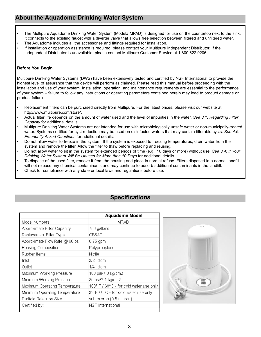#### **About the Aquadome Drinking Water System**

- The Multipure Aquadome Drinking Water System (Model# MPAD) is designed for use on the countertop next to the sink. It connects to the existing faucet with a diverter valve that allows free selection between filtered and unfiltered water.
- The Aquadome includes all the accessories and fittings required for installation.
- If installation or operation assistance is required, please contact your Multipure Independent Distributor. If the Independent Distributor is unavailable, please contact Multipure Customer Service at 1.800.622.9206.

#### **Before You Begin**

Multipure Drinking Water Systems (DWS) have been extensively tested and certified by NSF International to provide the highest level of assurance that the device will perform as claimed. Please read this manual before proceeding with the installation and use of your system. Installation, operation, and maintenance requirements are essential to the performance of your system – failure to follow any instructions or operating parameters contained herein may lead to product damage or product failure.

- Replacement filters can be purchased directly from Multipure. For the latest prices, please visit our website at http://www.multipure.com/store/.
- Actual filter life depends on the amount of water used and the level of impurities in the water. *See 3.1: Regarding Filter Capacity* for additional details.
- Multipure Drinking Water Systems are not intended for use with microbiologically unsafe water or non-municipally-treated water. Systems certified for cyst reduction may be used on disinfected waters that may contain filterable cysts. *See 4.6: Frequently Asked Questions* for additional details.
- Do not allow water to freeze in the system. If the system is exposed to freezing temperatures, drain water from the system and remove the filter. Allow the filter to thaw before replacing and reusing.
- Do not allow water to sit in the system for extended periods of time (e.g., 10 days or more) without use. *See 3.4: If Your Drinking Water System Will Be Unused for More than 10 Days* for additional details.
- To dispose of the used filter, remove it from the housing and place in normal refuse. Filters disposed in a normal landfill will not release any chemical contaminants and may continue to adsorb additional contaminants in the landfill.
- Check for compliance with any state or local laws and regulations before use.

#### **Specifications**

|                                | <b>Aquadome Model</b>                   |
|--------------------------------|-----------------------------------------|
| Model Numbers                  | MPAD                                    |
| Approximate Filter Capacity    | 750 gallons                             |
| Replacement Filter Type        | CB6AD                                   |
| Approximate Flow Rate @ 60 psi | $0.75$ gpm                              |
| Housing Composition            | Polypropylene                           |
| Rubber Items                   | Nitrile                                 |
| Inlet                          | 3/8" stem                               |
| Outlet                         | 1/4" stem                               |
| Maximum Working Pressure       | 100 psi/7.0 kg/cm2                      |
| Minimum Working Pressure       | 30 psi/2.1 kg/cm2                       |
| Maximum Operating Temperature  | 100° F / 38°C - for cold water use only |
| Minimum Operating Temperature  | 32°F / 0°C - for cold water use only    |
| Particle Retention Size        | sub micron (0.5 micron)                 |
| Certified by:                  | NSF International                       |

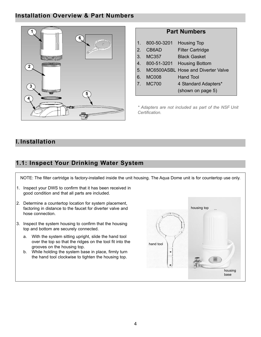#### **Installation Overview & Part Numbers**



| 1.             | 800-50-3201  | <b>Housing Top</b>                    |
|----------------|--------------|---------------------------------------|
| 2 <sub>1</sub> | CB6AD        | <b>Filter Cartridge</b>               |
| 3 <sub>1</sub> | <b>MC357</b> | <b>Black Gasket</b>                   |
| $4_{-}$        |              | 800-51-3201 Housing Bottom            |
|                |              | 5. MC6500ASBL Hose and Diverter Valve |
| 6.             | MC008        | Hand Tool                             |
|                | 7. MC700     | 4 Standard Adapters*                  |
|                |              | (shown on page 5)                     |
|                |              |                                       |

**Part Numbers**

*\* Adapters are not included as part of the NSF Unit Certification.*

#### **I. Installation**

#### **1.1: Inspect Your Drinking Water System**

NOTe: The filter cartridge is factory-installed inside the unit housing. The Aqua Dome unit is for countertop use only.

- 1. Inspect your DWS to confirm that it has been received in good condition and that all parts are included.
- 2. Determine a countertop location for system placement, factoring in distance to the faucet for diverter valve and hose connection.
- 3. Inspect the system housing to confirm that the housing top and bottom are securely connected.
	- a. With the system sitting upright, slide the hand tool over the top so that the ridges on the tool fit into the grooves on the housing top.
	- b. While holding the system base in place, firmly turn the hand tool clockwise to tighten the housing top.

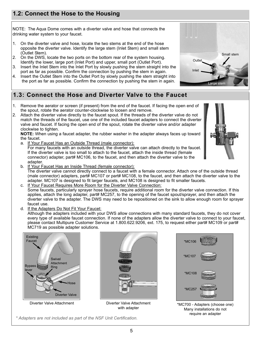#### **1.2: Connect the Hose to the Housing**

NOTe: The Aqua Dome comes with a diverter valve and hose that connects the drinking water system to your faucet.

- 1. On the diverter valve and hose, locate the two stems at the end of the hose opposite the diverter valve. Identify the large stem (Inlet Stem) and small stem (Outlet Stem).
- 2. On the DWS, locate the two ports on the bottom rear of the system housing. Identify the lower, large port (Inlet Port) and upper, small port (Outlet Port).
- 3. Insert the Inlet Stem into the Inlet Port by slowly pushing the stem straight into the port as far as possible. Confirm the connection by pushing the stem in again.
- 4. Insert the Outlet Stem into the Outlet Port by slowly pushing the stem straight into the port as far as possible. Confirm the connection by pushing the stem in again.

#### **1.3: Connect the Hose and Diverter Valve to the Faucet**

- 1. Remove the aerator or screen (if present) from the end of the faucet. If facing the open end of the spout, rotate the aerator counter-clockwise to loosen and remove.
- 2. Attach the diverter valve directly to the faucet spout. If the threads of the diverter valve do not match the threads of the faucet, use one of the included faucet adapters to connect the diverter valve and faucet. If facing the open end of the spout, rotate the diverter valve and/or adapter clockwise to tighten.

**NOTE:** When using a faucet adapter, the rubber washer in the adapter always faces up toward the faucet.

a. If Your Faucet Has an Outside Thread (male connector):

For many faucets with an outside thread, the diverter valve can attach directly to the faucet. If the diverter valve is too small to attach to the faucet, attach the inside thread (female connector) adapter, part# MC106, to the faucet, and then attach the diverter valve to the adapter.

b. If Your Faucet Has an Inside Thread (female connector):

The diverter valve cannot directly connect to a faucet with a female connector. Attach one of the outside thread (male connector) adapters, part# MC107 or part# MC108, to the faucet, and then attach the diverter valve to the adapter. MC107 is designed to fit larger faucets, and MC108 is designed to fit smaller faucets.

- c. If Your Faucet Requires More Room for the Diverter Valve Connection: Some faucets, particularly sprayer hose faucets, require additional room for the diverter valve connection. If this applies, attach the long adapter, part# MC257, to the opening of the faucet spout/sprayer, and then attach the diverter valve to the adapter. The DWS may need to be repositioned on the sink to allow enough room for sprayer faucet use.
- d. If the Adapters Do Not Fit Your Faucet:

Although the adapters included with your DWS allow connections with many standard faucets, they do not cover every type of available faucet connection. If none of the adapters allow the diverter valve to connect to your faucet, please contact Multipure Customer Service at 1.800.622.9206, ext. 175, to request either part# MC109 or part# MC719 as possible adapter solutions.



Diverter Valve Attachment Diverter Valve Attachment



with adapter







Many installations do not require an adapter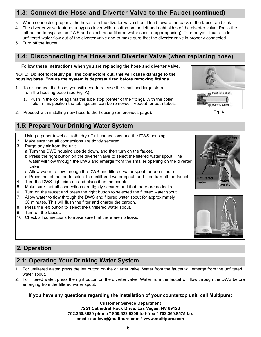#### **1.3: Connect the Hose and Diverter Valve to the Faucet (continued)**

- 3. When connected properly, the hose from the diverter valve should lead toward the back of the faucet and sink.
- 4. The diverter valve features a bypass lever with a button on the left and right sides of the diverter valve. Press the left button to bypass the DWS and select the unfiltered water spout (larger opening). Turn on your faucet to let unfiltered water flow out of the diverter valve and to make sure that the diverter valve is properly connected.
- 5. Turn off the faucet.

#### **1.4: Disconnecting the Hose and Diverter Valve (when replacing hose)**

**Follow these instructions when you are replacing the hose and diverter valve.**

**NOTE: Do not forcefully pull the connectors out, this will cause damage to the housing base. Ensure the system is depressurized before removing fittings.**

- 1. To disconnect the hose, you will need to release the small and large stem from the housing base (see Fig. A).
	- a. Push in the collet against the tube stop (center of the fitting). With the collet held in this position the tubing/stem can be removed. Repeat for both tubes.
- 2. Proceed with installing new hose to the housing (on previous page). Fig. A

#### **1.5: Prepare Your Drinking Water System**

- 1. Using a paper towel or cloth, dry off all connections and the DWS housing.
- 2. Make sure that all connections are tightly secured.
- 3. Purge any air from the unit.
	- a. Turn the DWS housing upside down, and then turn on the faucet.
	- b. Press the right button on the diverter valve to select the filtered water spout. The water will flow through the DWS and emerge from the smaller opening on the diverter valve.
	- c. Allow water to flow through the DWS and filtered water spout for one minute.
	- d. Press the left button to select the unfiltered water spout, and then turn off the faucet.
- 4. Turn the DWS right side up and place it on the counter.
- 5. Make sure that all connections are tightly secured and that there are no leaks.
- 6. Turn on the faucet and press the right button to selected the filtered water spout.
- 7. Allow water to flow through the DWS and filtered water spout for approximately
- 30 minutes. This will flush the filter and charge the carbon.
- 8. Press the left button to select the unfiltered water spout.
- 9. Turn off the faucet.
- 10. Check all connections to make sure that there are no leaks.



**bypass lever**





#### **2. Operation**

#### **2.1: Operating Your Drinking Water System**

- 1. For unfiltered water, press the left button on the diverter valve. Water from the faucet will emerge from the unfiltered water spout.
- 2. For filtered water, press the right button on the diverter valve. Water from the faucet will flow through the DWS before emerging from the filtered water spout.

#### **If you have any questions regarding the installation of your countertop unit, call Multipure:**

**Customer Service Department 7251 Cathedral Rock Drive, Las Vegas, NV 89128 702.360.8880 phone \* 800.622.9206 toll-free \* 702.360.8575 fax email: custsvc@multipure.com \* www.multipure.com**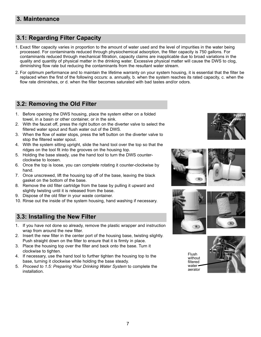#### **3.1: Regarding Filter Capacity**

- 1. exact filter capacity varies in proportion to the amount of water used and the level of impurities in the water being processed. For contaminants reduced through physiochemical adsorption, the filter capacity is 750 gallons. For contaminants reduced through mechanical filtration, capacity claims are inapplicable due to broad variations in the quality and quantity of physical matter in the drinking water. Excessive physical matter will cause the DWS to clog, diminishing flow rate but reducing the contaminants from the resultant water stream.
- 2. For optimum performance and to maintain the lifetime warranty on your system housing, it is essential that the filter be replaced when the first of the following occurs: a. annually, b. when the system reaches its rated capacity, c. when the flow rate diminishes, or d. when the filter becomes saturated with bad tastes and/or odors.

#### **3.2: Removing the Old Filter**

- 1. Before opening the DWS housing, place the system either on a folded towel, in a basin or other container, or in the sink.
- 2. With the faucet off, press the right button on the diverter valve to select the filtered water spout and flush water out of the DWS.
- 3. When the flow of water stops, press the left button on the diverter valve to stop the filtered water spout.
- 4. With the system sitting upright, slide the hand tool over the top so that the ridges on the tool fit into the grooves on the housing top.
- 5. Holding the base steady, use the hand tool to turn the DWS counterclockwise to loosen.
- 6. Once the top is loose, you can complete rotating it counter-clockwise by hand.
- 7. Once unscrewed, lift the housing top off of the base, leaving the black gasket on the bottom of the base.
- 8. Remove the old filter cartridge from the base by pulling it upward and slightly twisting until it is released from the base.
- 9. Dispose of the old filter in your waste container.
- 10. Rinse out the inside of the system housing, hand washing if necessary.

#### **3.3: Installing the New Filter**

- 1. If you have not done so already, remove the plastic wrapper and instruction wrap from around the new filter.
- 2. Insert the new filter in the center port of the housing base, twisting slightly. Push straight down on the filter to ensure that it is firmly in place.
- 3. Place the housing top over the filter and back onto the base. Turn it clockwise to tighten.
- 4. If necessary, use the hand tool to further tighten the housing top to the base, turning it clockwise while holding the base steady.
- 5. *Proceed to 1.5: Preparing Your Drinking Water System* to complete the installation.













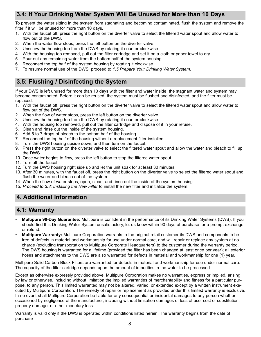#### **3.4: If Your Drinking Water System Will Be Unused for More than 10 Days**

To prevent the water sitting in the system from stagnating and becoming contaminated, flush the system and remove the filter if it will be unused for more than 10 days.

- 1. With the faucet off, press the right button on the diverter valve to select the filtered water spout and allow water to flow out of the DWS.
- 2. When the water flow stops, press the left button on the diverter valve.
- 3. Unscrew the housing top from the DWS by rotating it counter-clockwise.
- 4. With the housing top removed, pull out the filter cartridge and set it on a cloth or paper towel to dry.
- 5. Pour out any remaining water from the bottom half of the system housing.
- 6. Reconnect the top half of the system housing by rotating it clockwise.
- 7. To resume normal use of the DWS, proceed to *1.5 Prepare Your Drinking Water System.*

#### **3.5: Flushing / Disinfecting the System**

If your DWS is left unused for more than 10 days with the filter and water inside, the stagnant water and system may become contaminated. Before it can be reused, the system must be flushed and disinfected, and the filter must be replaced.

- 1. With the faucet off, press the right button on the diverter valve to select the filtered water spout and allow water to flow out of the DWS.
- 2. When the flow of water stops, press the left button on the diverter valve.
- 3. Unscrew the housing top from the DWS by rotating it counter-clockwise.
- 4. With the housing top removed, pull out the filter cartridge and dispose of it in your refuse.
- 5. Clean and rinse out the inside of the system housing.
- 6. Add 5 to 7 drops of bleach to the bottom half of the housing.
- 7. Reconnect the top half of the housing without a replacement filter installed.
- 8. Turn the DWS housing upside down, and then turn on the faucet.
- 9. Press the right button on the diverter valve to select the filtered water spout and allow the water and bleach to fill up the DWS.
- 10. Once water begins to flow, press the left button to stop the filtered water spout.
- 11. Turn off the faucet.
- 12. Turn the DWS housing right side up and let the unit soak for at least 30 minutes.
- 13. After 30 minutes, with the faucet off, press the right button on the diverter valve to select the filtered water spout and flush the water and bleach out of the system.
- 14. When the flow of water stops, open, clean, and rinse out the inside of the system housing.
- 15. *Proceed to 3.3: Installing the New Filter* to install the new filter and initialize the system.

#### **4. Additional Information**

#### **4.1: Warranty**

- **Multipure 90-Day Guarantee:** Multipure is confident in the performance of its Drinking Water Systems (DWS). If you should find this Drinking Water System unsatisfactory, let us know within 90 days of purchase for a prompt exchange or refund.
- **Multipure Warranty:** Multipure Corporation warrants to the original retail customer its DWS and components to be free of defects in material and workmanship for use under normal care, and will repair or replace any system at no charge (excluding transportation to Multipure Corporate Headquarters) to the customer during the warranty period. The DWS housing is warranted for a lifetime (provided the filter has been changed at least once per year); all exterior hoses and attachments to the DWS are also warranted for defects in material and workmanship for one (1) year.

Multipure Solid Carbon Block Filters are warranted for defects in material and workmanship for use under normal care. The capacity of the filter cartridge depends upon the amount of impurities in the water to be processed.

Except as otherwise expressly provided above, Multipure Corporation makes no warranties, express or implied, arising by law or otherwise, including without limitation the implied warranties of merchantability and fitness for a particular purpose, to any person. This limited warranted may not be altered, varied, or extended except by a written instrument executed by Multipure Corporation. The remedy of repair or replacement as provided under this limited warranty is exclusive. In no event shall Multipure Corporation be liable for any consequential or incidental damages to any person whether occasioned by negligence of the manufacturer, including without limitation damages of loss of use, cost of substitution, property damage, or other monetary loss.

Warranty is valid only if the DWS is operated within conditions listed herein. The warranty begins from the date of purchase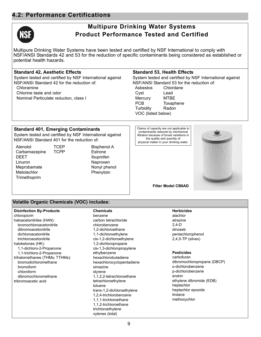#### **4.2: Performance Certifications**



#### **Multipure Drinking Water Systems Product Performance Tested and Certified**

Multipure Drinking Water Systems have been tested and certified by NSF International to comply with NSF/ANSI Standards 42 and 53 for the reduction of specific contaminants being considered as established or potential health hazards.

#### **Standard 42, Aesthetic Effects**

System tested and certified by NSF International against NSF/ANSI Standard 42 for the reduction of: Chloramine Chlorine taste and odor

Nominal Particulate reduction, class I

#### **Standard 53, Health Effects**

System tested and certified by NSF International against NSF/ANSI Standard 53 for the reduction of: Asbestos Chlordane Cyst Lead Mercury MTBE PCB Toxaphene Turbidity Radon VOC (listed below)

#### **Standard 401, Emerging Contaminants**

System tested and certified by NSF International against NSF/ANSI Standard 401 for the reduction of:

Atenolol Carbamazepine **DEET Linuron** Meprobamate **Metolachlor** Trimethoprim **TCEP TCPP**  Bisphenol A Estrone Ibuprofen Naproxen Nonyl phenol Phenytoin

Claims of capacity are not applicable to contaminants reduced by mechanical filtration because of broad variations in the quality and quantity of physical matter in your drinking water.



#### **Filter Model CB6AD**

#### **Volatile Organic Chemicals (VOC) includes:**

| <b>Disinfection By-Products</b> | <b>Chemicals</b>           | <b>Herbicides</b>           |
|---------------------------------|----------------------------|-----------------------------|
| chloropicrin                    | benzene                    | alachlor                    |
| haloacetonitriles (HAN):        | carbon tetrachloride       | atrazine                    |
| bromochloroacetonitrile         | chlorobenzene              | $2,4-D$                     |
| dibromoacetonitrile             | 1,2-dichloroethane         | dinoseb                     |
| dichloroacetonitrile            | 1,1-dichloroethylene       | pentachlorophenol           |
| trichloroacetonitrile           | cis-1,2-dichloroethylene   | $2,4,5$ -TP (silvex)        |
| haloketones (HK):               | 1,2-dichloropropane        |                             |
| 1,1-dichloro-2-Propanone        | cis-1,3-dichloropropylene  |                             |
| 1,1-trichloro-2-Propanone       | ethylbenzene               | <b>Pesticides</b>           |
| trihalomethanes (THMs; TTHMs):  | hexachlorobutadiene        | carbofuran                  |
| bromodichloromethane            | hexachlorocyclopentadiene  | dibromochloropropane (DBCP) |
| bromoform                       | simazine                   | o-dichlorobenzene           |
| chloroform                      | styrene                    | p-dichlorobenzene           |
| dibromochloromethane            | 1,1,2,2-tetrachloroethane  | endrin                      |
| tribromoacetic acid             | tetrachloroethylene        | ethylene dibromide (EDB)    |
|                                 | toluene                    | heptachlor                  |
|                                 | trans-1,2-dichloroethylene | heptachlor epoxide          |
|                                 | 1,2,4-trichlorobenzene     | lindane                     |
|                                 | 1,1,1-trichloroethane      | methoxychlor                |
|                                 | 1,1,2-trichloroethane      |                             |
|                                 | trichloroethylene          |                             |
|                                 | xylenes (total)            |                             |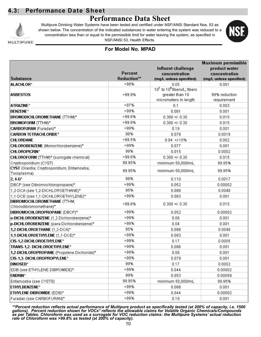#### **4.3: Performance Date Sheet**

#### **Performance Data Sheet**



Multipure Drinking Water Systems have been tested and certified under NSF/ANSI Standard Nos. 53 as shown below. The concentration of the indicated substances in water entering the system was reduced to a concentration less than or equal to the permissible limit for water leaving the system, as specified in NSF/ANSI 53, Health Effects.



MULTIPURE'

#### **For Model No. MPAD**

|                                             |             |                                         | Maximum permissible     |
|---------------------------------------------|-------------|-----------------------------------------|-------------------------|
|                                             |             | <b>Influent challenge</b>               | product water           |
|                                             | Percent     | concentration                           | concentration           |
| <b>Substance</b>                            | Reduction** | (mg/L unless specified)                 | (mg/L unless specified) |
| <b>ALACHLOR*</b>                            | >98%        | 0.05                                    | 0.001                   |
|                                             |             | 107 to 10 <sup>8</sup> fibers/L; fibers |                         |
| <b>ASBESTOS</b>                             | >99.9%      | greater than 10                         | 99% reduction           |
|                                             |             | micrometers in length                   | requirement             |
| <b>ATRAZINE*</b>                            | >97%        | 0.1                                     | 0.003                   |
| <b>BENZENE*</b>                             | >99%        | 0.081                                   | 0.001                   |
| <b>BROMODICHLOROMETHANE</b> (TTHM)*         | >99.8%      | $0.300 + 0.30$                          | 0.015                   |
| <b>BROMOFORM</b> (TTHM)*                    | >99.8%      | $0.300 + 0.30$                          | 0.015                   |
| CARBOFURAN (Furadan)*                       | >99%        | 0.19                                    | 0.001                   |
| <b>CARBON TETRACHLORIDE*</b>                | 98%         | 0.078                                   | 0.0018                  |
| <b>CHLORDANE</b>                            | >99.5%      | $0.04 + 410%$                           | 0.002                   |
| CHLOROBENZENE (Monochlorobenzene)*          | >99%        | 0.077                                   | 0.001                   |
| <b>CHLOROPICRIN*</b>                        | 99%         | 0.015                                   | 0.0002                  |
| CHLOROFORM (TTHM)* (surrogate chemical)     | >99.8%      | $0.300 + 0.30$                          | 0.015                   |
| Cryptosporidium (CYST)                      | 99.95%      | minimum 50,000/mL                       | 99.95%                  |
| CYST (Giardia; Cryptosporidium; Entamoeba;  | 99.95%      | minimum 50,000/mL                       | 99.95%                  |
| Toxoplasma)                                 |             |                                         |                         |
| $2,4-0*$                                    | 98%         | 0.110                                   | 0.0017                  |
| DBCP (see Dibromochloropropane)*            | >99%        | 0.052                                   | 0.00002                 |
| 1,2-DCA (see 1,2-DICHLOROETHANE)*           | 95%         | 0.088                                   | 0.0048                  |
| 1,1-DCE (see 1,1-DICHLOROETHYLENE)*         | >99%        | 0.083                                   | 0.001                   |
| DIBROMOCHLOROMETHANE (TTHM;                 | >99.8%      | $0.300 + 0.30$                          | 0.015                   |
| Chlorodibromomethane)*                      |             |                                         |                         |
| DIBROMOCHLOROPROPANE (DBCP)*                | >99%        | 0.052                                   | 0.00002                 |
| o-DICHLOROBENZENE (1,2 Dichlorobenzene)*    | >99%        | 0.08                                    | 0.001                   |
| p-DICHLOROBENZENE (para-Dichlorobenzene)*   | >98%        | 0.04                                    | 0.001                   |
| 1,2-DICHLOROETHANE (1,2-DCA)*               | 95%         | 0.088                                   | 0.0048                  |
| 1,1-DICHLOROETHYLENE (1,1-DCE)*             | >99%        | 0.083                                   | 0.001                   |
| CIS-1,2-DICHLOROETHYLENE*                   | >99%        | 0.17                                    | 0.0005                  |
| TRANS-1,2- DICHLOROETHYLENE*                | >99%        | 0.086                                   | 0.001                   |
| 1,2-DICHLOROPROPANE (Propylene Dichloride)* | >99%        | 0.08                                    | 0.001                   |
| CIS-1,3- DICHLOROPROPYLENE*                 | >99%        | 0.079                                   | 0.001                   |
| <b>DINOSEB*</b>                             | 99%         | 0.17                                    | 0.0002                  |
| EDB (see ETHYLENE DIBROMIDE)*               | >99%        | 0.044                                   | 0.00002                 |
| <b>ENDRIN*</b>                              | 99%         | 0.053                                   | 0.00059                 |
| Entamoeba (see CYSTS)                       | 99.95%      | minimum 50,000/mL                       | 99.95%                  |
| <b>ETHYLBENZENE*</b>                        | >99%        | 0.088                                   | 0.001                   |
| ETHYLENE DIBROMIDE (EDB)*                   | >99%        | 0.044                                   | 0.00002                 |
| Furadan (see CARBOFURAN)*                   | >99%        | 0.19                                    | 0.001                   |

\*\*Percent reduction reflects actual performance of Multipure product as specifically tested (at 200% of capacity, i.e. 1500 *gallons). Percent reduction shown for VOCs\* reflects the allowable claims for Volatile Organic Chemicals/Compounds* as per Tables. Chloroform was used as a surrogate for VOC reduction claims: the Multipure Systems' actual reduction *rate of Chloroform was >99.8% as tested (at 200% of capacity).*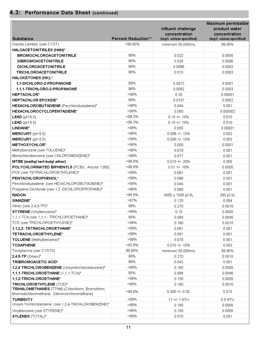#### **4.3: Performance Data Sheet (continued)**

| <b>Substance</b>                                     | Percent Reduction** | Influent challenge<br>concentration<br>(mg/L unless specified) | Maximum permissible<br>product water<br>concentration<br>(mg/L unless specified) |
|------------------------------------------------------|---------------------|----------------------------------------------------------------|----------------------------------------------------------------------------------|
|                                                      | >99.95%             |                                                                |                                                                                  |
| Giardia Lamblia (see CYST)                           |                     | minimum 50,000/mL                                              | 99.95%                                                                           |
| HALOACETONITRILES (HAN)*                             | 98%                 |                                                                |                                                                                  |
| <b>BROMOCHLOROACETONITRILE</b>                       | 98%                 | 0.022                                                          | 0.0005                                                                           |
| <b>DIBROMOACETONITRILE</b>                           |                     | 0.024                                                          | 0.0006                                                                           |
| DICHLOROACETONITRILE                                 | 98%                 | 0.0096                                                         | 0.0002                                                                           |
| <b>TRICHLOROACETONITRILE</b>                         | 98%                 | 0.015                                                          | 0.0003                                                                           |
| <b>HALOKETONES (HK):*</b>                            |                     |                                                                |                                                                                  |
| 1.1-DICHLORO-2-PROPANONE                             | 99%                 | 0.0072                                                         | 0.0001                                                                           |
| 1,1,1-TRICHLORO-2-PROPANONE                          | 96%                 | 0.0082                                                         | 0.0003                                                                           |
| <b>HEPTACHLOR*</b>                                   | $>99\%$             | 0.25                                                           | 0.00001                                                                          |
| <b>HEPTACHLOR EPOXIDE*</b>                           | 98%                 | 0.0107                                                         | 0.0002                                                                           |
| HEXACHLOROBUTADIENE (Perchlorobutadiene)*            | >98%                | 0.044                                                          | 0.001                                                                            |
| HEXACHLOROCYCLOPENTADIENE*                           | >99%                | 0.060                                                          | 0.000002                                                                         |
| <b>LEAD</b> ( $pH 6.5$ )                             | >99.3%              | $0.15 + 1.10%$                                                 | 0.010                                                                            |
| <b>LEAD</b> ( $pH 8.5$ )                             | >99.3%              | $0.15 + 1.10%$                                                 | 0.010                                                                            |
| LINDANE*                                             | >99%                | 0.055                                                          | 0.00001                                                                          |
| <b>MERCURY</b> ( $pH 6.5$ )                          | $>99\%$             | $0.006 +/- 10%$                                                | 0.002                                                                            |
| <b>MERCURY</b> ( $pH 8.5$ )                          | >99%                | $0.006 +/- 10\%$                                               | 0.002                                                                            |
| METHOXYCHLOR*                                        | $>99\%$             | 0.050                                                          | 0.0001                                                                           |
| Methylbenzene (see TOLUENE)*                         | >99%                | 0.078                                                          | 0.001                                                                            |
| Monochlorobenzene (see CHLOROBENZENE)*               | $>99\%$             | 0.077                                                          | 0.001                                                                            |
| MTBE (methyl tert-butyl ether)                       | >96.6%              | $0.015 + 20%$                                                  | 0.005                                                                            |
| POLYCHLORINATED BIPHENYLS (PCBs, Aroclor 1260)       | >99.9%              | $0.01 +/- 10%$                                                 | 0.0005                                                                           |
| PCE (see TETRACHLOROETHYLENE)*                       | >99%                | 0.081                                                          | 0.001                                                                            |
| PENTACHLOROPHENOL*                                   | >99%                | 0.096                                                          | 0.001                                                                            |
| Perchlorobutadiene (see HEXACHLOROBUTADIENE)*        | >98%                | 0.044                                                          | 0.001                                                                            |
| Propylene Dichloride (see 1,2 -DICHLOROPROPANE)*     | $>99\%$             | 0.080                                                          | 0.001                                                                            |
| <b>RADON</b>                                         | >94.9%              | 4000 ± 1000 pCi/L                                              | 300 pCi/L                                                                        |
| SIMAZINE*                                            | >97%                | 0.120                                                          | 0.004                                                                            |
| Silvex (see 2,4,5-TP)*                               | 99%                 | 0.270                                                          | 0.0016                                                                           |
| <b>STYRENE</b> (Vinylbenzene)*                       | >99%                | 0.15                                                           | 0.0005                                                                           |
| 1,1,1-TCA (see 1,1,1 - TRICHLOROETHANE)*             | 95%                 | 0.084                                                          | 0.0046                                                                           |
| TCE (see TRICHLOROETHYLENE)*                         | $>99\%$             | 0.180                                                          | 0.0010                                                                           |
| 1,1,2,2- TETRACHLOROETHANE*                          | $>99\%$             | 0.081                                                          | 0.001                                                                            |
| TETRACHLOROETHYLENE*                                 | $>99\%$             | 0.081                                                          | 0.001                                                                            |
| TOLUENE (Methylbenzene)*                             | $>99\%$             | 0.078                                                          | 0.001                                                                            |
| <b>TOXAPHENE</b>                                     | >92.9%              | $0.015 + 4.10%$                                                | 0.003                                                                            |
| Toxoplasma (see CYSTS)                               | 99.95%              | minimum 50,000/mL                                              | 99.95%                                                                           |
| $2,4,5$ -TP (Silvex)*                                | 99%                 | 0.270                                                          | 0.0016                                                                           |
| TRIBROMOACETIC ACID*                                 | 98%                 | 0.042                                                          | 0.001                                                                            |
| 1,2,4 TRICHLOROBENZENE (Unsymtrichlorobenzene)*      | >99%                | 0.160                                                          | 0.0005                                                                           |
| 1,1,1-TRICHLOROETHANE (1,1,1-TCA)*                   | 95%                 | 0.084                                                          | 0.0046                                                                           |
| 1,1,2-TRICHLOROETHANE*                               | $>99\%$             | 0.150                                                          | 0.0005                                                                           |
| TRICHLOROETHYLENE (TCE)*                             | >99%                | 0.180                                                          | 0.0010                                                                           |
| TRIHALOMETHANES (TTHM) (Chloroform; Bromoform;       |                     |                                                                |                                                                                  |
| Bromodichloromethane; Dibromochloromethane)          | >99.8%              | $0.300 + 0.30$                                                 | 0.015                                                                            |
| <b>TURBIDITY</b>                                     | >99%                | 11 +/- 1 NTU                                                   | $0.5$ NTU                                                                        |
| Unsym-Trichlorobenzene (see 1,2,4-TRICHLOROBENZENE)* | >99%                | 0.160                                                          | 0.0005                                                                           |
| Vinylbenzene (see STYRENE)*                          | >99%                | 0.150                                                          | 0.0005                                                                           |
| XYLENES (TOTAL)*                                     | $>99\%$             | 0.070                                                          | 0.001                                                                            |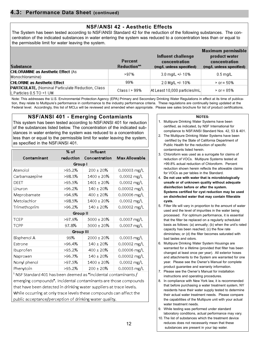#### **NSF/ANSI 42 - Aesthetic Effects**

The System has been tested according to NSF/ANSI Standard 42 for the reduction of the following substances. The concentration of the indicated substances in water entering the system was reduced to a concentration less than or equal to the permissible limit for water leaving the system.

| <b>Substance</b>                                                                 | Percent<br>$Reduction**$ | Influent challenge<br>concentration<br>(mg/L unless specified) | <b>Maximum permissible</b><br>product water<br>concentration<br>(mg/L unless specified) |
|----------------------------------------------------------------------------------|--------------------------|----------------------------------------------------------------|-----------------------------------------------------------------------------------------|
| <b>CHLORAMINE as Aesthetic Effect (As)</b><br>Monochloramine)                    | $>97\%$                  | $3.0 \text{ ma/L} + 4.10\%$                                    | $0.5$ ma/L                                                                              |
| <b>CHLORINE as Aesthetic Effect</b>                                              | 99%                      | 2.0 Mg/L +/- 10%                                               | $>$ or = 50%                                                                            |
| PARTICULATE, (Nominal Particulate Reduction, Class<br>II, Particles 0.5 TO <1 UM | Class I $> 99\%$         | At Least 10,000 particles/mL                                   | $\ge$ or = 85%                                                                          |

Note: This addresses the U.S. Environmental Protection Agency (EPA) Primary and Secondary Drinking Water Regulations in effect at its time of publication, they relate to Multipure's performance in conformance to the industry performance criteria. These regulations are continually being updated at the Federal level. Accordingly, this list of MCls will be reviewed and amended when appropriate. Please see sales brochure for list of product certifications.

#### **NSF/ANSI 401 - Emerging Contamiants**

This system has been tested according to NSF/ANSI 401 for reduction of the substances listed below. The concentration of the indicated substances in water entering the system was reduced to a concentration less than or equal to the permissible limit for water leaving the system, as specified in the NSF/ANSI 401.

|                                                                          | % of             | <b>Influent</b>    |                          |
|--------------------------------------------------------------------------|------------------|--------------------|--------------------------|
| Contaminant                                                              | reduction        | Concentration      | <b>Max Allowable</b>     |
|                                                                          | Group I          |                    |                          |
| Atenolol                                                                 | >95.2%           | $200 \pm 20\%$     | $0.00003$ mg/L           |
| Carbamazepine                                                            | >98.3%           | $1400 \pm 20\%$    | 0.0002 mg/L              |
| DEET                                                                     | >95.5%           | 1401 ± 20 <b>%</b> | $0.0002 \,\text{mg/L}$   |
| Linuron                                                                  | >96.2%           | $140 \pm 20\%$     | 0.00002 mg/L             |
| Meprobamate                                                              | >94.9%           | $400 \pm 20\%$     | $0.00006$ mg/L           |
| Metolachlor                                                              | >98.5%           | $1400 \pm 20%$     | $0.0002 \,\mathrm{mg/L}$ |
| Trimethoprim                                                             | >96.2%           | $140 \pm 20\%$     | 0.00002 mg/L             |
|                                                                          | Group II         |                    |                          |
| TCEP                                                                     | >97.9%           | $5000 \pm 20\%$    | 0.0007 mg/L              |
| TCPP                                                                     | 97.8%            | $5000 \pm 20\%$    | 0.0007 mg/L              |
|                                                                          | <b>Group III</b> |                    |                          |
| Bisphenol A                                                              | 99%              | 2000 ± 20%         | $0.0003 \,\mathrm{mg/L}$ |
| Estrone                                                                  | >96.4%           | $140 \pm 20\%$     | 0.00002 mg/L             |
| Ibuprofen                                                                | >95.2%           | $400 \pm 20\%$     | $0.00006$ mg/L           |
| Naproxen                                                                 | >96.7%           | $140 \pm 20\%$     | $0.00002$ mg/L           |
| Nonyl phenol                                                             | >97.5%           | $1400 \pm 20\%$    | $0.0002 \,\text{mg/L}$   |
| Phenytoin                                                                | $>95.2\%$        | $200 \pm 20\%$     | 0.00003 mg/L             |
| $^1$ NSF Standard 401 has been deemed as "incidental contaminants $\ell$ |                  |                    |                          |

emerging compounds". Incidental contaminants are those compounds that have been detected in drinking water suppliers at trace levels. While occurring at only trace levels these compounds can affect the public acceptance/perception of drinking water quality.

#### **NOTES:**

- 1. Multipure Drinking Water Systems have been certified, as indicated, by NSF International for compliance to NSF/ANSI Standard Nos. 42, 53 & 401.
- 2. The Multipure Drinking Water Systems have been certified by the State of California Department of Public Health for the reduction of specific contaminants listed herein.
- 3. Chloroform was used as a surrogate for claims of reduction of VOCs. Multipure Systems tested at >99.8% actual reduction of Chloroform. Percent reduction shown herein reflects the allowable claims for VOCs as per tables in the Standard.
- 4. **Do not use with water that is microbiologically unsafe or of unknown quality without adequate disinfection before or after the system. Systems certified for cyst reduction may be used on disinfected water that may contain filterable cysts.**
- 5. Filter life will vary in proportion to the amount of water used and the level of impurities in the water being processed. For optimum performance, it is essential that the filter be replaced on a regularly scheduled basis as follows: (a) annually; (b) when the unit's rated capacity has been reached; (c) the flow rate diminishes; or (d) the filter becomes saturated with bad tastes and odors.
- 6. Multipure Drinking Water System Housings are warranted for a lifetime (provided that filter has been changed at least once per year). All exterior hoses and attachments to the System are warranted for one year. Please see the Owner's Manual for complete product guarantee and warranty information.
- 7. Please see the Owner's Manual for installation instructions and operating procedures.
- 8. In compliance with New York law, it is recommended that before purchasing a water treatment system, NY residents have their water supply tested to determine their actual water treatment needs. Please compare the capabilities of the Multipure unit with your actual water treatment needs.
- 9. While testing was performed under standard laboratory conditions, actual performance may vary.
- 10. The list of substances which the treatment device reduces does not necessarily mean that these substances are present in your tap water.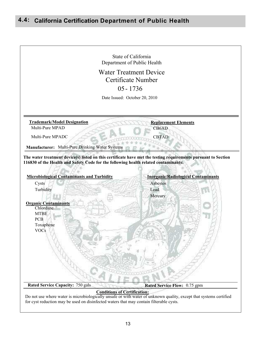#### **California Certification Department of Public Health 4.4:**



Do not use where water is microbiologically unsafe or with water of unknown quality, except that systems certified for cyst reduction may be used on disinfected waters that may contain filterable cysts.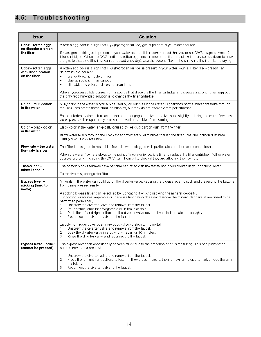#### **4.5: Troubleshooting**

| <b>Issue</b>                                               | <b>Solution</b>                                                                                                                                                                                                                                                                                                                                                                                                                                                                                                                                                         |
|------------------------------------------------------------|-------------------------------------------------------------------------------------------------------------------------------------------------------------------------------------------------------------------------------------------------------------------------------------------------------------------------------------------------------------------------------------------------------------------------------------------------------------------------------------------------------------------------------------------------------------------------|
| Odor - rotten eggs,<br>no discoloration on                 | A rotten egg odor is a sign that H <sub>2</sub> S (hydrogen sulfide) gas is present in your water source.                                                                                                                                                                                                                                                                                                                                                                                                                                                               |
| the filter                                                 | If hydrogen sulfide gas is present in your water source, it is recommended that you rotate DWS usage between 2<br>filter cartridges. When the DWS emits the rotten egg smell, remove the filter and allow it to dry upside down to allow<br>the gas to dissipate (the filter can be reused once dry). Use the second filter in the unit while the first filter is drying.                                                                                                                                                                                               |
| Odor – rotten eggs,<br>with discoloration<br>on the filter | A rotten egg odor is a sign that H <sub>2</sub> S (hydrogen sulfide) is present in your water source. Filter discoloration can<br>determine the source:<br>orange/brownish colors - iron<br>$\bullet$<br>blackish colors - manganese<br>$\bullet$<br>slimy/blotchy colors - decaying organisms<br>$\bullet$<br>When hydrogen sulfide comes from a source that discolors the filter cartridge and creates a strong rotten egg odor,                                                                                                                                      |
|                                                            | the only recommended solution is to change the filter cartridge.                                                                                                                                                                                                                                                                                                                                                                                                                                                                                                        |
| Color - milky color<br>in the water                        | Milky color in the water is typically caused by air bubbles in the water. Higher than normal water pressure through<br>the DWS can create these small air bubbles, but they do not affect system performance.                                                                                                                                                                                                                                                                                                                                                           |
|                                                            | For countertop systems, turn on the water and engage the diverter valve while slightly reducing the water flow. Less<br>water pressure through the system can prevent air bubbles from forming.                                                                                                                                                                                                                                                                                                                                                                         |
| Color – black color<br>in the water                        | Black color in the water is typically caused by residual carbon dust from the filter.                                                                                                                                                                                                                                                                                                                                                                                                                                                                                   |
|                                                            | Allow water to run through the DWS for approximately 30 minutes to flush the filter. Residual carbon dust may<br>initially color the water black.                                                                                                                                                                                                                                                                                                                                                                                                                       |
| Flow rate - the water<br>flow rate is slow                 | The filter is designed to restrict its flow rate when clogged with particulates or other solid contaminants.                                                                                                                                                                                                                                                                                                                                                                                                                                                            |
|                                                            | When the water flow rate slows to the point of inconvenience, it is time to replace the filter cartridge. If other water<br>sources are on while using the DWS, turn them off to check if they are affecting the flow rate.                                                                                                                                                                                                                                                                                                                                             |
| Taste/Odor-<br>miscellaneous                               | The carbon block filter may have become saturated with the tastes and odors treated in your drinking water.                                                                                                                                                                                                                                                                                                                                                                                                                                                             |
|                                                            | To resolve this, change the filter.                                                                                                                                                                                                                                                                                                                                                                                                                                                                                                                                     |
| Bypass lever-<br>sticking (hard to<br>move)                | Minerals in the water can build up on the diverter valve, causing the bypass lever to stick and preventing the buttons<br>from being pressed easily.                                                                                                                                                                                                                                                                                                                                                                                                                    |
|                                                            | A sticking bypass lever can be solved by lubricating it or by dissolving the mineral deposits.<br>Lubrication - requires vegetable oil; because lubrication does not dissolve the mineral deposits, it may need to be<br>performed periodically.<br>Unscrew the diverter valve and remove from the faucet.<br>$\mathbf{1}$ .<br>2.<br>Pour a small amount of vegetable oil in the inlet hole.<br>3.<br>Push the left and right buttons on the diverter valve several times to lubricate it thoroughly.<br>Reconnect the diverter valve to the faucet.<br>4 <sup>1</sup> |
|                                                            | Dissolving - requires vinegar; may cause discoloration to the metal.<br>Unscrew the diverter valve and remove from the faucet.<br>1.<br>2.<br>Soak the diverter valve in a bowl of vinegar for 10 minutes.<br>Rinse the diverter valve and reconnect to the faucet.<br>3.                                                                                                                                                                                                                                                                                               |
| Bypass lever - stuck<br>(cannot be pressed)                | The bypass lever can occasionally become stuck due to the presence of air in the tubing. This can prevent the<br>buttons from being pressed.                                                                                                                                                                                                                                                                                                                                                                                                                            |
|                                                            | Unscrew the diverter valve and remove from the faucet.<br>$\mathbf{1}$ .<br>2.<br>Press the left and right buttons to test it. If they press in easily, then removing the diverter valve freed the air in<br>the tubing.<br>Reconnect the diverter valve to the faucet.<br>3.                                                                                                                                                                                                                                                                                           |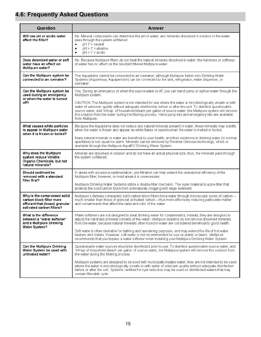#### **4.6: Frequently Asked Questions**

| Question                                                                                                                | Answer                                                                                                                                                                                                                                                                                                                                                                                                                                                                                                                                                                                                                                             |
|-------------------------------------------------------------------------------------------------------------------------|----------------------------------------------------------------------------------------------------------------------------------------------------------------------------------------------------------------------------------------------------------------------------------------------------------------------------------------------------------------------------------------------------------------------------------------------------------------------------------------------------------------------------------------------------------------------------------------------------------------------------------------------------|
| Will low pH or acidic water<br>affect the filter?                                                                       | No. Mineral components can determine the pH of water, and minerals dissolved in solution in the water<br>pass through the system unfiltered.<br>$pH 7$ = neutral<br>$\bullet$<br>$pH > 7$ = alkaline<br>$\bullet$<br>$pH < 7$ = acidic<br>$\bullet$                                                                                                                                                                                                                                                                                                                                                                                                |
| Does deionized water or soft<br>water have an effect on<br>Multipure water?                                             | No. Because Multipure filters do not treat the natural minerals dissolved in water, the hardness or softness<br>of water has no effect on the resultant filtered Multipure water.                                                                                                                                                                                                                                                                                                                                                                                                                                                                  |
| Can the Multipure system be<br>connected to an icemaker?                                                                | The Aquadome cannot be connected to an icemaker, although Multipure below sink Drinking Water<br>Systems (Aquaversa, Aquaperform) can be connected to the sink, refrigerator, water dispenser, or<br>icemaker.                                                                                                                                                                                                                                                                                                                                                                                                                                     |
| Can the Multipure system be<br>used during an emergency<br>or when the water is turned<br>off?                          | Yes. During an emergency or when the source water is off, you can hand pump or siphon water through the<br>Multipure system.<br>CAUTION: The Multipure system is not intended for use where the water is microbiologically unsafe or with<br>water of unknown quality without adequate disinfection before or after the unit. To disinfect questionable<br>source water, add 1/4 tsp. of household bleach per gallon of source water; the Multipure system will remove<br>this solution from the water during the filtering process. Hand pump kits and emergency kits are available<br>from Multipure.                                            |
| What causes white particles<br>to appear in Multipure water<br>when it is frozen or boiled?                             | Because the Aquadome does not reduce any natural minerals present in water, these minerals may solidify<br>when the water is frozen and appear as white flakes or specks when the water is melted or boiled.<br>Many natural minerals in water are beneficial to your health, and their existence in drinking water (in normal<br>quantities) is not cause for alarm. Minerals can be removed by Reverse Osmosis technology, which is<br>available through the Multipure AquaRO Drinking Water System.                                                                                                                                             |
| Why does the Multipure<br>system reduce Volatile<br>Organic Chemicals, but not<br>natural minerals?                     | Minerals are dissolved in solution and do not have an actual physical size; thus, the minerals pass through<br>the system unfiltered.                                                                                                                                                                                                                                                                                                                                                                                                                                                                                                              |
| Should sediment be<br>removed with a standard<br>filter first?                                                          | In areas with excessive sedimentation, pre-filtration can help extend the operational efficiency of the<br>Multipure filter; however, in most areas it is unnecessary.<br>Multipure Drinking Water Systems utilize a double-filter mechanic. The outer material is a pre-filter that<br>protects the solid carbon block from prematurely clogging with large sediment.                                                                                                                                                                                                                                                                             |
| Why is the compressed solid<br>carbon block filter more<br>efficient that (loose) granular<br>activated carbon filters? | Multipure's densely compacted solid carbon block filters force water through microscopic pores of carbon -<br>much smaller than those of granular activated carbon - thus more effectively reducing particulate matter<br>and contaminants that affect the taste and odor of the water.                                                                                                                                                                                                                                                                                                                                                            |
| What is the difference<br>between a "water softener"<br>and a Multipure Drinking<br>Water System?                       | Water softeners are not designed to treat drinking water for contaminants; instead, they are designed to<br>adjust the hardness (mineral content) of the water. Multipure systems do not remove dissolved minerals<br>from the water, because natural minerals often found in water are considered beneficial to good health.<br>Soft water is often desirable for bathing and laundering purposes, and may extend the life of hot water<br>heaters and boilers. However, soft water is not recommended for use on plants or lawns. Multipure<br>recommends that you bypass a water softener when installing your Multipure Drinking Water System. |
| Can the Multipure Drinking<br>Water System be used with<br>untreated water?                                             | Questionable water sources should be disinfected prior to use. To disinfect questionable source water, add<br>1/4 tsp of household bleach per gallon of source water; the Multipure system will remove this solution from<br>the water during the filtering process.<br>Multipure systems are designed to be used with municipally treated water; they are not intended to be used<br>where the water is microbiologically unsafe or with water of unknown quality without adequate disinfection<br>before or after the unit. Systems certified for cyst reduction may be used on disinfected waters that may<br>contain filterable cysts.         |